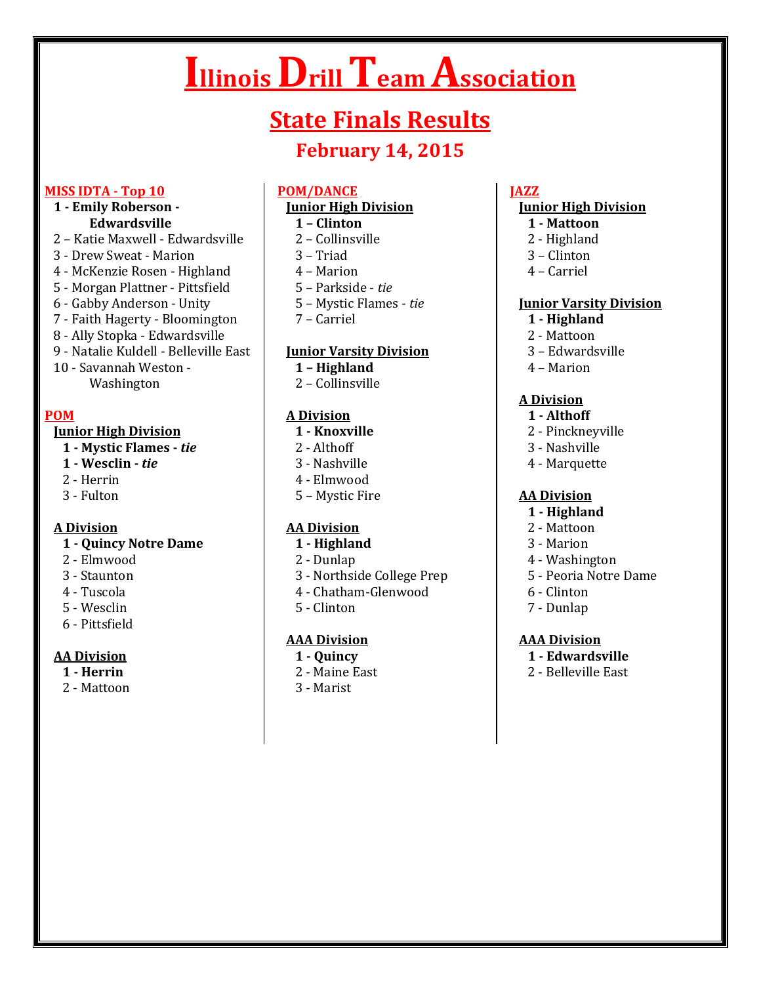# **Illinois Drill Team Association**

# **State Finals Results**

# **February 14, 2015**

#### **MISS IDTA - Top 10**

### **1 - Emily Roberson - Edwardsville**

- 2 Katie Maxwell Edwardsville
- 3 Drew Sweat Marion
- 4 McKenzie Rosen Highland
- 5 Morgan Plattner Pittsfield
- 6 Gabby Anderson Unity
- 7 Faith Hagerty Bloomington
- 8 Ally Stopka Edwardsville
- 9 Natalie Kuldell Belleville East
- 10 Savannah Weston Washington

# **POM**

#### **Junior High Division**

- **1 - Mystic Flames -** *tie*
- **1 - Wesclin -** *tie*
- 2 Herrin
- 3 Fulton

#### **A Division**

#### **1 - Quincy Notre Dame**

- 2 Elmwood
- 3 Staunton
- 4 Tuscola
- 5 Wesclin
- 6 Pittsfield

# **AA Division**

- **1 - Herrin**
- 2 Mattoon

#### **POM/DANCE**

# **Junior High Division**

- **1 – Clinton**
- 2 Collinsville
- 3 Triad
- 4 Marion
- 5 Parkside *tie*
- 5 Mystic Flames *tie*
- 7 Carriel

# **Junior Varsity Division**

- **1 – Highland**
- 2 Collinsville

# **A Division**

- **1 - Knoxville**
- 2 Althoff
- 3 Nashville
- 4 Elmwood
- 5 Mystic Fire

# **AA Division**

- **1 - Highland**
- 2 Dunlap
- 3 Northside College Prep
- 4 Chatham-Glenwood
- 5 Clinton

#### **AAA Division**

#### **1 - Quincy**

- 2 Maine East
- 3 Marist

### **JAZZ**

#### **Junior High Division**

- **1 - Mattoon**
- 2 Highland
- 3 Clinton
- 4 Carriel

#### **Junior Varsity Division**

- **1 - Highland**
- 2 Mattoon
- 3 Edwardsville
- 4 Marion

#### **A Division**

- **1 - Althoff**
- 2 Pinckneyville
- 3 Nashville
- 4 Marquette

#### **AA Division**

- **1 - Highland**
- 2 Mattoon
- 3 Marion
- 4 Washington
- 5 Peoria Notre Dame
- 6 Clinton
- 7 Dunlap

#### **AAA Division**

- **1 - Edwardsville**
- 2 Belleville East